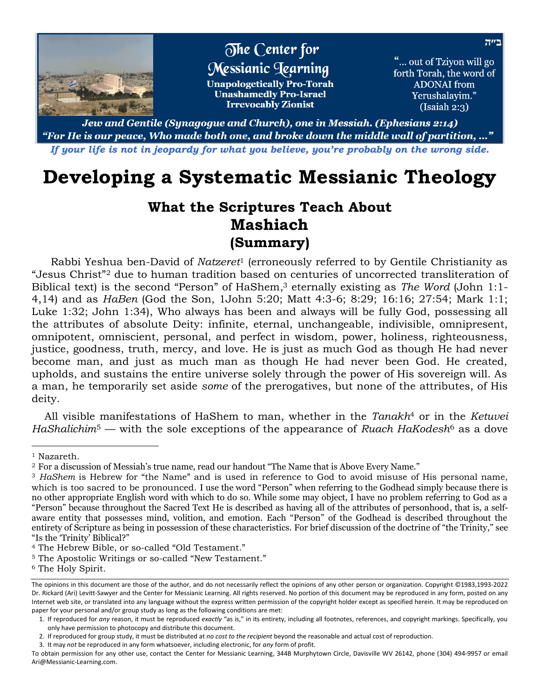

Jew and Gentile (Synagogue and Church), one in Messiah. (Ephesians 2:14) "For He is our peace, Who made both one, and broke down the middle wall of partition, …" *If your life is not in jeopardy for what you believe, you're probably on the wrong side.*

## **Developing a Systematic Messianic Theology**

## **What the Scriptures Teach About Mashiach (Summary)**

Rabbi Yeshua ben-David of *Natzeret*<sup>1</sup> (erroneously referred to by Gentile Christianity as "Jesus Christ"<sup>2</sup> due to human tradition based on centuries of uncorrected [transliteration](file:///D:/Documents/My%20Web%20Sites/NewFamilyBible/glossary/glossary_t.html%23transliteration) of Biblical text) is the second "Person" of HaShem, <sup>3</sup> eternally existing as *The Word* (John 1:1- 4,14) and as *HaBen* (God the Son, 1John 5:20; Matt 4:3-6; 8:29; 16:16; 27:54; Mark 1:1; Luke 1:32; John 1:34), Who always has been and always will be fully God, possessing all the attributes of absolute Deity: infinite, eternal, unchangeable, indivisible, omnipresent, omnipotent, omniscient, personal, and perfect in wisdom, power, holiness, righteousness, justice, goodness, truth, mercy, and love. He is just as much God as though He had never become man, and just as much man as though He had never been God. He created, upholds, and sustains the entire universe solely through the power of His sovereign will. As a man, he temporarily set aside *some* of the prerogatives, but none of the attributes, of His deity.

All [visible manifestations](file:///D:/Documents/My%20Web%20Sites/NewFamilyBible/beit_midrash/theology/hashem/default.html%23Manifestations) of HaShem to man, whether in the *[Tanakh](file:///D:/Documents/My%20Web%20Sites/NewFamilyBible/glossary/glossary_t.html%23Tanakh)*<sup>4</sup> or in the *[Ketuvei](file:///D:/Documents/My%20Web%20Sites/NewFamilyBible/glossary/glossary_j-k.html%23Ketuvei%20HaShalichim)  [HaShalichim](file:///D:/Documents/My%20Web%20Sites/NewFamilyBible/glossary/glossary_j-k.html%23Ketuvei%20HaShalichim)*<sup>5</sup> — with the sole exceptions of the appearance of *Ruach HaKodesh*<sup>6</sup> as a dove

<sup>1</sup> Nazareth.

<sup>2</sup> For a discussion of Messiah's true name, read our handout "The Name that is Above Every Name."

<sup>3</sup> *HaShem* is Hebrew for "the Name" and is used in reference to God to avoid misuse of His personal name, which is too sacred to be pronounced. I use the word "Person" when referring to the Godhead simply because there is no other appropriate English word with which to do so. While some may object, I have no problem referring to God as a "Person" because throughout the Sacred Text He is described as having all of the attributes of personhood, that is, a selfaware entity that possesses mind, volition, and emotion. Each "Person" of the Godhead is described throughout the entirety of Scripture as being in possession of these characteristics. For brief discussion of the doctrine of "the Trinity," see "Is the 'Trinity' Biblical?"

<sup>4</sup> The Hebrew Bible, or so-called "Old Testament."

<sup>5</sup> The Apostolic Writings or so-called "New Testament."

<sup>6</sup> The Holy Spirit.

The opinions in this document are those of the author, and do not necessarily reflect the opinions of any other person or organization. Copyright ©1983,1993-2022 Dr. Rickard (Ari) Levitt-Sawyer and the Center for Messianic Learning. All rights reserved. No portion of this document may be reproduced in any form, posted on any Internet web site, or translated into any language without the express written permission of the copyright holder except as specified herein. It may be reproduced on paper for your personal and/or group study as long as the following conditions are met:

<sup>1.</sup> If reproduced for *any* reason, it must be reproduced *exactly* "as is," in its entirety, including all footnotes, references, and copyright markings. Specifically, you only have permission to photocopy and distribute this document.

<sup>2.</sup> If reproduced for group study, it must be distributed at *no cost to the recipient* beyond the reasonable and actual cost of reproduction.

<sup>3.</sup> It may *not* be reproduced in any form whatsoever, including electronic, for *any* form of profit.

To obtain permission for any other use, contact the Center for Messianic Learning, 344B Murphytown Circle, Davisville WV 26142, phone (304) 494-9957 or email Ari@Messianic-Learning.com.